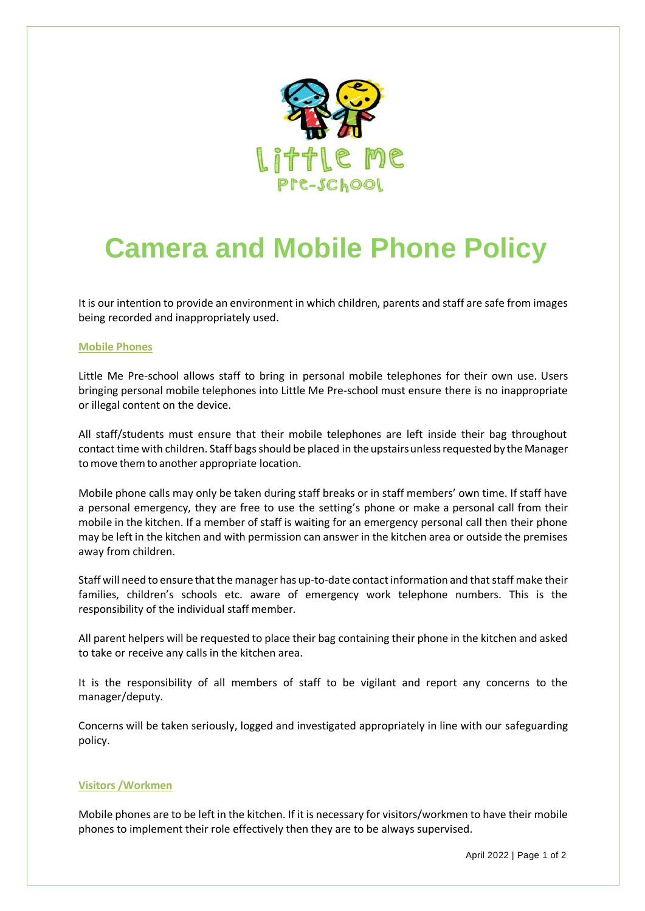

# **Camera and Mobile Phone Policy**

It is our intention to provide an environment in which children, parents and staff are safe from images being recorded and inappropriately used.

#### **Mobile Phones**

Little Me Pre-school allows staff to bring in personal mobile telephones for their own use. Users bringing personal mobile telephones into Little Me Pre-school must ensure there is no inappropriate or illegal content on the device.

All staff/students must ensure that their mobile telephones are left inside their bag throughout contact time with children. Staff bags should be placed in the upstairs unless requested by the Manager to move them to another appropriate location.

Mobile phone calls may only be taken during staff breaks or in staff members' own time. If staff have a personal emergency, they are free to use the setting's phone or make a personal call from their mobile in the kitchen. If a member of staff is waiting for an emergency personal call then their phone may be left in the kitchen and with permission can answer in the kitchen area or outside the premises away from children.

Staff will need to ensure that the manager has up-to-date contact information and that staff make their families, children's schools etc. aware of emergency work telephone numbers. This is the responsibility of the individual staff member.

All parent helpers will be requested to place their bag containing their phone in the kitchen and asked to take or receive any calls in the kitchen area.

It is the responsibility of all members of staff to be vigilant and report any concerns to the manager/deputy.

Concerns will be taken seriously, logged and investigated appropriately in line with our safeguarding policy.

## **Visitors /Workmen**

Mobile phones are to be left in the kitchen. If it is necessary for visitors/workmen to have their mobile phones to implement their role effectively then they are to be always supervised.

April 2022 | Page 1 of 2